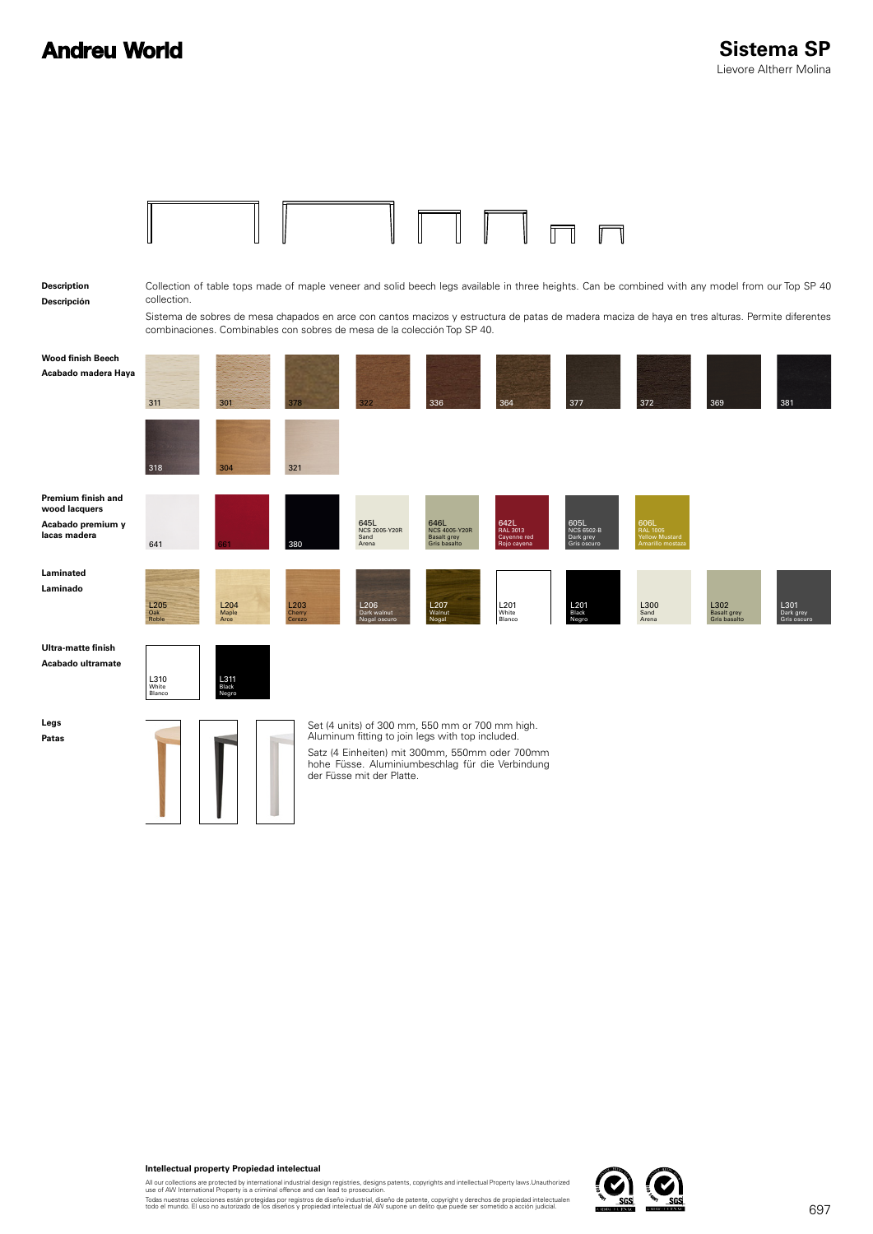### **Andreu World**

| Description<br>Descripción                                               | collection.             |                                              | combinaciones. Combinables con sobres de mesa de la colección Top SP 40. |                                        |                                                                                                                                                                                                           |                                                |                                                | Collection of table tops made of maple veneer and solid beech legs available in three heights. Can be combined with any model from our Top SP 40<br>Sistema de sobres de mesa chapados en arce con cantos macizos y estructura de patas de madera maciza de haya en tres alturas. Permite diferentes |                                     |                                  |
|--------------------------------------------------------------------------|-------------------------|----------------------------------------------|--------------------------------------------------------------------------|----------------------------------------|-----------------------------------------------------------------------------------------------------------------------------------------------------------------------------------------------------------|------------------------------------------------|------------------------------------------------|------------------------------------------------------------------------------------------------------------------------------------------------------------------------------------------------------------------------------------------------------------------------------------------------------|-------------------------------------|----------------------------------|
| Wood finish Beech<br>Acabado madera Haya                                 | 311                     | 301                                          | 378                                                                      | 322                                    | 336                                                                                                                                                                                                       | 364                                            | 377                                            | 372                                                                                                                                                                                                                                                                                                  | 369                                 | 381                              |
|                                                                          | 318                     | 304                                          | 321                                                                      |                                        |                                                                                                                                                                                                           |                                                |                                                |                                                                                                                                                                                                                                                                                                      |                                     |                                  |
| Premium finish and<br>wood lacquers<br>Acabado premium y<br>lacas madera | 641                     |                                              | 380                                                                      | 645L<br>NCS 2005-Y20R<br>Sand<br>Arena | 646L<br>NCS 4005-Y20R<br><b>Basalt grey</b><br><b>Gris basalto</b>                                                                                                                                        | 642L<br>RAL 3013<br>Cayenne red<br>Rojo cayena | 605L<br>NCS 6502-B<br>Dark grey<br>Gris oscuro | 606L<br>RAL 1005<br>Yellow Mustard                                                                                                                                                                                                                                                                   |                                     |                                  |
| Laminated<br>Laminado                                                    | L205<br>Oak<br>Roble    | $L204$<br>Maple<br>Arce                      | L203<br>Cherry<br>Cerezo                                                 | L206<br>Dark walnut<br>Nogal oscuro    | L <sub>207</sub><br>Walnut<br>Nogal                                                                                                                                                                       | L201<br>White<br>Blanco                        | L201<br>Black<br>Negro                         | L300<br>Sand<br>Arena                                                                                                                                                                                                                                                                                | L302<br>Basalt grey<br>Gris basalto | L301<br>Dark grey<br>Gris oscuro |
| Ultra-matte finish<br>Acabado ultramate                                  | L310<br>White<br>Blanco | L311<br><sup>Black</sup><br><sup>Negro</sup> |                                                                          |                                        |                                                                                                                                                                                                           |                                                |                                                |                                                                                                                                                                                                                                                                                                      |                                     |                                  |
| Legs<br>Patas                                                            |                         |                                              |                                                                          | der Füsse mit der Platte.              | Set (4 units) of 300 mm, 550 mm or 700 mm high.<br>Aluminum fitting to join legs with top included.<br>Satz (4 Einheiten) mit 300mm, 550mm oder 700mm<br>hohe Füsse. Aluminiumbeschlag für die Verbindung |                                                |                                                |                                                                                                                                                                                                                                                                                                      |                                     |                                  |
|                                                                          |                         |                                              |                                                                          |                                        |                                                                                                                                                                                                           |                                                |                                                |                                                                                                                                                                                                                                                                                                      |                                     |                                  |

#### **Intellectual property Propiedad intelectual**

All our collections are protected by international industrial design registries, designs patents, copyrights and intellectual Property laws.Unauthorized<br>Todas nuestras colleciones están protegidas por registros de diseño i

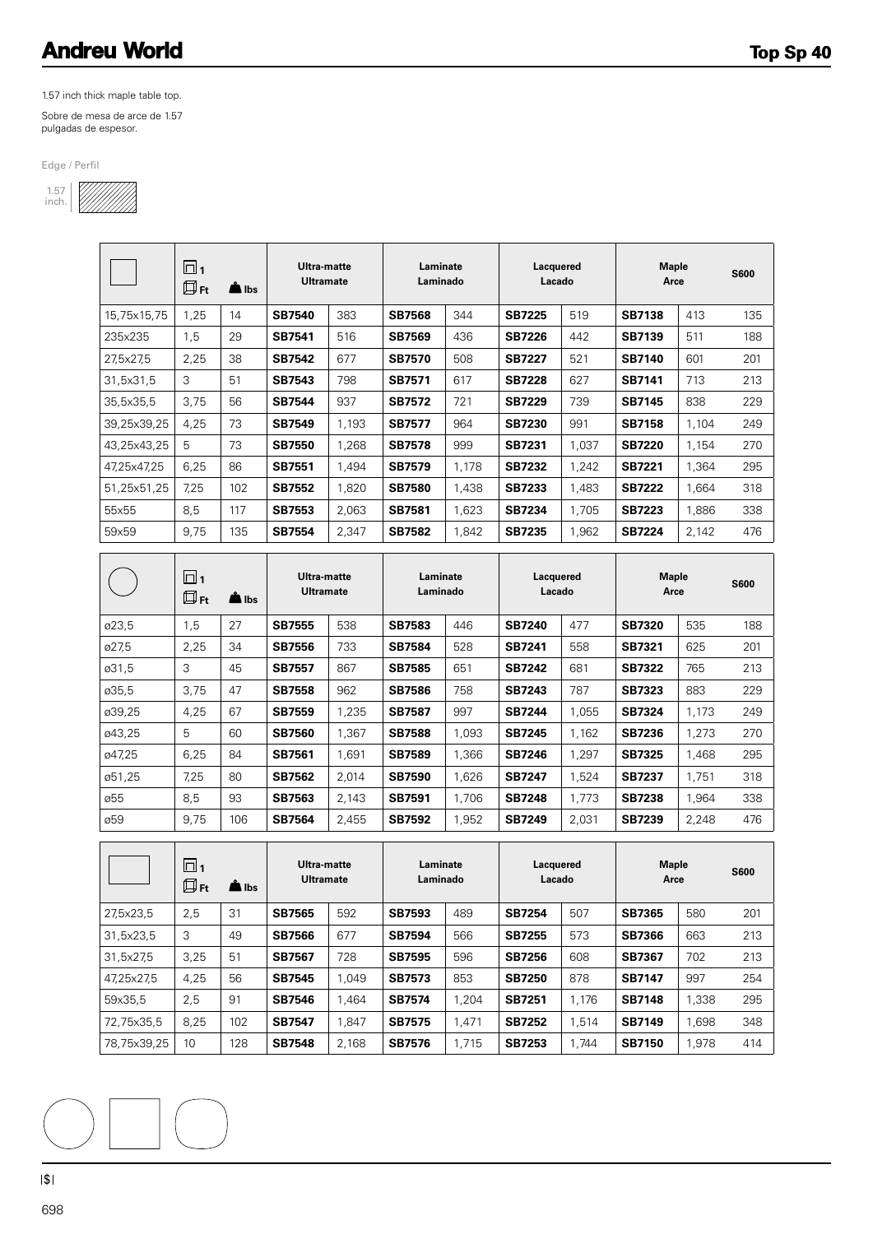## **Andreu World**

1.57 inch thick maple table top.

Sobre de mesa de arce de 1.57 pulgadas de espesor.

Edge / Perfil



|             | $\Box_1$<br>$\square$ Ft | $\triangle$ lbs | Ultra-matte<br><b>Ultramate</b> |       | Laminate<br>Laminado |       | Lacquered<br>Lacado |       | Maple<br>Arce |       | <b>S600</b> |
|-------------|--------------------------|-----------------|---------------------------------|-------|----------------------|-------|---------------------|-------|---------------|-------|-------------|
| 15,75x15,75 | 1,25                     | 14              | <b>SB7540</b>                   | 383   | <b>SB7568</b>        | 344   | <b>SB7225</b>       | 519   | <b>SB7138</b> | 413   | 135         |
| 235x235     | 1,5                      | 29              | <b>SB7541</b>                   | 516   | <b>SB7569</b>        | 436   | <b>SB7226</b>       | 442   | <b>SB7139</b> | 511   | 188         |
| 27,5x27,5   | 2,25                     | 38              | <b>SB7542</b>                   | 677   | <b>SB7570</b>        | 508   | <b>SB7227</b>       | 521   | <b>SB7140</b> | 601   | 201         |
| 31,5x31,5   | 3                        | 51              | <b>SB7543</b>                   | 798   | <b>SB7571</b>        | 617   | <b>SB7228</b>       | 627   | <b>SB7141</b> | 713   | 213         |
| 35,5x35,5   | 3,75                     | 56              | <b>SB7544</b>                   | 937   | <b>SB7572</b>        | 721   | <b>SB7229</b>       | 739   | <b>SB7145</b> | 838   | 229         |
| 39,25x39,25 | 4,25                     | 73              | <b>SB7549</b>                   | 1.193 | <b>SB7577</b>        | 964   | <b>SB7230</b>       | 991   | <b>SB7158</b> | 1,104 | 249         |
| 43,25x43,25 | 5                        | 73              | <b>SB7550</b>                   | 1.268 | <b>SB7578</b>        | 999   | <b>SB7231</b>       | 1.037 | <b>SB7220</b> | 1,154 | 270         |
| 47,25x47,25 | 6,25                     | 86              | <b>SB7551</b>                   | 1,494 | <b>SB7579</b>        | 1,178 | <b>SB7232</b>       | 1,242 | <b>SB7221</b> | 1,364 | 295         |
| 51,25x51,25 | 7,25                     | 102             | <b>SB7552</b>                   | 1,820 | <b>SB7580</b>        | 1,438 | <b>SB7233</b>       | 1.483 | <b>SB7222</b> | 1,664 | 318         |
| 55x55       | 8,5                      | 117             | <b>SB7553</b>                   | 2,063 | SB7581               | 1,623 | <b>SB7234</b>       | 1,705 | <b>SB7223</b> | 1,886 | 338         |
| 59x59       | 9,75                     | 135             | <b>SB7554</b>                   | 2,347 | <b>SB7582</b>        | 1,842 | <b>SB7235</b>       | 1,962 | <b>SB7224</b> | 2,142 | 476         |

|        | $\Box$ 1<br>$\square$ Ft | lbs <b>S</b> | Ultra-matte<br><b>Ultramate</b> |       | Laminate<br>Laminado |       | Lacquered<br>Lacado |       | <b>Maple</b><br>Arce |       | <b>S600</b> |
|--------|--------------------------|--------------|---------------------------------|-------|----------------------|-------|---------------------|-------|----------------------|-------|-------------|
| ø23,5  | 1,5                      | 27           | <b>SB7555</b>                   | 538   | <b>SB7583</b>        | 446   | <b>SB7240</b>       | 477   | <b>SB7320</b>        | 535   | 188         |
| ø27,5  | 2,25                     | 34           | <b>SB7556</b>                   | 733   | <b>SB7584</b>        | 528   | <b>SB7241</b>       | 558   | SB7321               | 625   | 201         |
| ø31,5  | 3                        | 45           | <b>SB7557</b>                   | 867   | <b>SB7585</b>        | 651   | <b>SB7242</b>       | 681   | <b>SB7322</b>        | 765   | 213         |
| ø35,5  | 3,75                     | 47           | <b>SB7558</b>                   | 962   | <b>SB7586</b>        | 758   | <b>SB7243</b>       | 787   | <b>SB7323</b>        | 883   | 229         |
| ø39,25 | 4,25                     | 67           | <b>SB7559</b>                   | 1,235 | <b>SB7587</b>        | 997   | <b>SB7244</b>       | 1,055 | <b>SB7324</b>        | 1,173 | 249         |
| ø43,25 | 5                        | 60           | <b>SB7560</b>                   | 1.367 | <b>SB7588</b>        | 1,093 | <b>SB7245</b>       | 1,162 | <b>SB7236</b>        | 1,273 | 270         |
| ø47,25 | 6,25                     | 84           | SB7561                          | 1,691 | <b>SB7589</b>        | 1,366 | <b>SB7246</b>       | 1,297 | <b>SB7325</b>        | 1,468 | 295         |
| ø51,25 | 7,25                     | 80           | <b>SB7562</b>                   | 2.014 | <b>SB7590</b>        | 1,626 | <b>SB7247</b>       | 1,524 | <b>SB7237</b>        | 1,751 | 318         |
| ø55    | 8,5                      | 93           | <b>SB7563</b>                   | 2,143 | <b>SB7591</b>        | 1.706 | <b>SB7248</b>       | 1,773 | <b>SB7238</b>        | 1,964 | 338         |
| ø59    | 9,75                     | 106          | <b>SB7564</b>                   | 2,455 | <b>SB7592</b>        | 1,952 | <b>SB7249</b>       | 2,031 | <b>SB7239</b>        | 2,248 | 476         |

|             | $\Box$ 1<br>$\square$ Ft | l Ibs | Ultra-matte<br><b>Ultramate</b> |       | Laminate<br>Laminado |       | Lacquered<br>Lacado |       | <b>Maple</b><br>Arce |       | <b>S600</b> |
|-------------|--------------------------|-------|---------------------------------|-------|----------------------|-------|---------------------|-------|----------------------|-------|-------------|
| 27,5x23,5   | 2,5                      | 31    | <b>SB7565</b>                   | 592   | <b>SB7593</b>        | 489   | <b>SB7254</b>       | 507   | <b>SB7365</b>        | 580   | 201         |
| 31,5x23,5   | 3                        | 49    | <b>SB7566</b>                   | 677   | <b>SB7594</b>        | 566   | <b>SB7255</b>       | 573   | <b>SB7366</b>        | 663   | 213         |
| 31,5x27,5   | 3,25                     | 51    | <b>SB7567</b>                   | 728   | <b>SB7595</b>        | 596   | <b>SB7256</b>       | 608   | SB7367               | 702   | 213         |
| 47.25x27.5  | 4,25                     | 56    | <b>SB7545</b>                   | .049  | <b>SB7573</b>        | 853   | <b>SB7250</b>       | 878   | <b>SB7147</b>        | 997   | 254         |
| 59x35.5     | 2,5                      | 91    | <b>SB7546</b>                   | .464  | <b>SB7574</b>        | 1.204 | <b>SB7251</b>       | 1.176 | <b>SB7148</b>        | 1,338 | 295         |
| 72.75x35.5  | 8,25                     | 102   | <b>SB7547</b>                   | .847  | <b>SB7575</b>        | 1.471 | <b>SB7252</b>       | 1.514 | <b>SB7149</b>        | 1.698 | 348         |
| 78,75x39,25 | 10                       | 128   | <b>SB7548</b>                   | 2.168 | <b>SB7576</b>        | 1.715 | <b>SB7253</b>       | 1.744 | <b>SB7150</b>        | 1,978 | 414         |